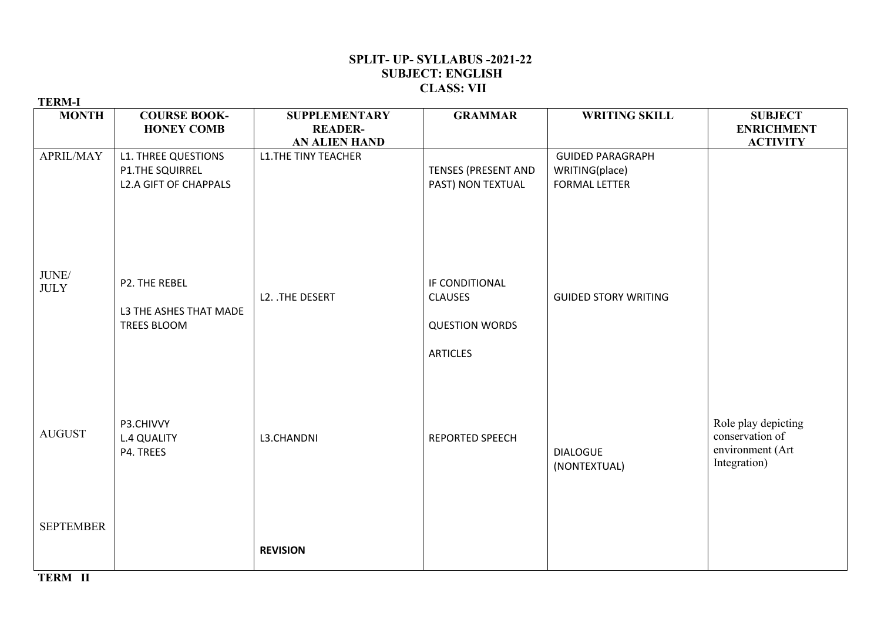## **SPLIT- UP- SYLLABUS -2021-22 SUBJECT: ENGLISH CLASS: VII**

| <b>TERM-I</b>        |                                                                                      |                                                                |                                                                              |                                                                   |                                                                            |
|----------------------|--------------------------------------------------------------------------------------|----------------------------------------------------------------|------------------------------------------------------------------------------|-------------------------------------------------------------------|----------------------------------------------------------------------------|
| <b>MONTH</b>         | <b>COURSE BOOK-</b><br><b>HONEY COMB</b>                                             | <b>SUPPLEMENTARY</b><br><b>READER-</b><br><b>AN ALIEN HAND</b> | <b>GRAMMAR</b>                                                               | <b>WRITING SKILL</b>                                              | <b>SUBJECT</b><br><b>ENRICHMENT</b><br><b>ACTIVITY</b>                     |
| APRIL/MAY            | <b>L1. THREE QUESTIONS</b><br><b>P1.THE SQUIRREL</b><br><b>L2.A GIFT OF CHAPPALS</b> | <b>L1.THE TINY TEACHER</b>                                     | <b>TENSES (PRESENT AND</b><br>PAST) NON TEXTUAL                              | <b>GUIDED PARAGRAPH</b><br>WRITING(place)<br><b>FORMAL LETTER</b> |                                                                            |
| JUNE/<br><b>JULY</b> | P2. THE REBEL<br>L3 THE ASHES THAT MADE<br><b>TREES BLOOM</b>                        | L2. . THE DESERT                                               | IF CONDITIONAL<br><b>CLAUSES</b><br><b>QUESTION WORDS</b><br><b>ARTICLES</b> | <b>GUIDED STORY WRITING</b>                                       |                                                                            |
| <b>AUGUST</b>        | P3.CHIVVY<br><b>L.4 QUALITY</b><br>P4. TREES                                         | L3.CHANDNI                                                     | <b>REPORTED SPEECH</b>                                                       | <b>DIALOGUE</b><br>(NONTEXTUAL)                                   | Role play depicting<br>conservation of<br>environment (Art<br>Integration) |
| <b>SEPTEMBER</b>     |                                                                                      | <b>REVISION</b>                                                |                                                                              |                                                                   |                                                                            |

**TERM II**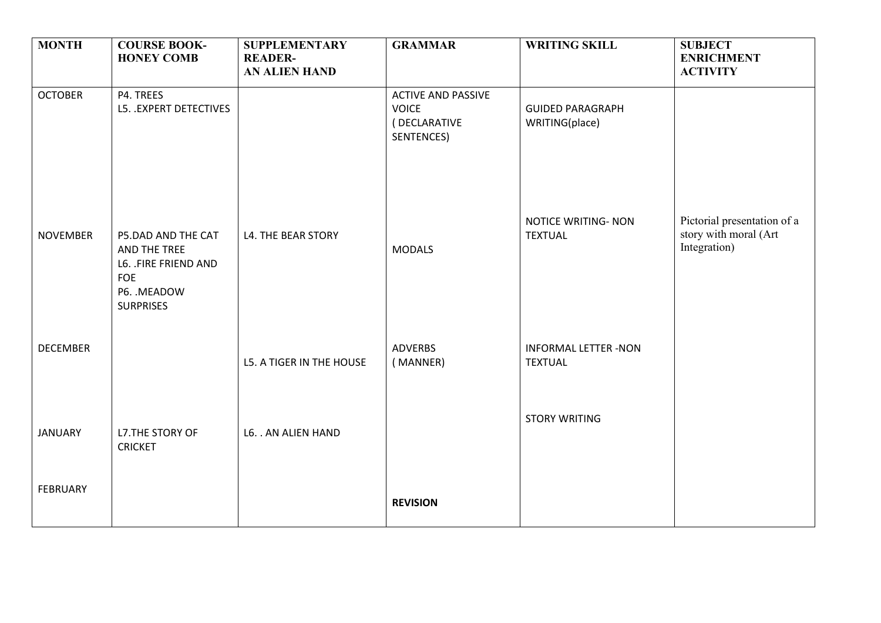| <b>MONTH</b>    | <b>COURSE BOOK-</b><br><b>HONEY COMB</b>                                                              | <b>SUPPLEMENTARY</b><br><b>READER-</b> | <b>GRAMMAR</b>                             | <b>WRITING SKILL</b>                          | <b>SUBJECT</b><br><b>ENRICHMENT</b>                                  |
|-----------------|-------------------------------------------------------------------------------------------------------|----------------------------------------|--------------------------------------------|-----------------------------------------------|----------------------------------------------------------------------|
| <b>OCTOBER</b>  | P4. TREES                                                                                             | AN ALIEN HAND                          | <b>ACTIVE AND PASSIVE</b>                  |                                               | <b>ACTIVITY</b>                                                      |
|                 | L5. . EXPERT DETECTIVES                                                                               |                                        | <b>VOICE</b><br>(DECLARATIVE<br>SENTENCES) | <b>GUIDED PARAGRAPH</b><br>WRITING(place)     |                                                                      |
| <b>NOVEMBER</b> | P5.DAD AND THE CAT<br>AND THE TREE<br>L6. .FIRE FRIEND AND<br>FOE<br>P6. . MEADOW<br><b>SURPRISES</b> | L4. THE BEAR STORY                     | <b>MODALS</b>                              | <b>NOTICE WRITING- NON</b><br><b>TEXTUAL</b>  | Pictorial presentation of a<br>story with moral (Art<br>Integration) |
| <b>DECEMBER</b> |                                                                                                       | L5. A TIGER IN THE HOUSE               | <b>ADVERBS</b><br>(MANNER)                 | <b>INFORMAL LETTER -NON</b><br><b>TEXTUAL</b> |                                                                      |
| <b>JANUARY</b>  | L7.THE STORY OF<br><b>CRICKET</b>                                                                     | L6. . AN ALIEN HAND                    |                                            | <b>STORY WRITING</b>                          |                                                                      |
| <b>FEBRUARY</b> |                                                                                                       |                                        | <b>REVISION</b>                            |                                               |                                                                      |